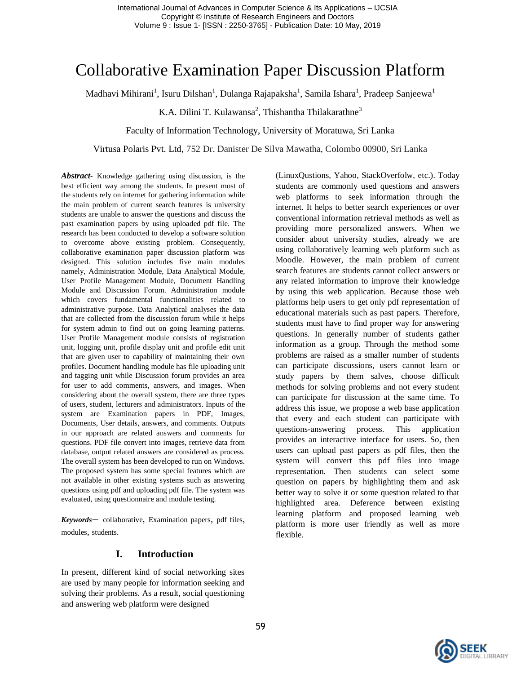# Collaborative Examination Paper Discussion Platform

Madhavi Mihirani<sup>1</sup>, Isuru Dilshan<sup>1</sup>, Dulanga Rajapaksha<sup>1</sup>, Samila Ishara<sup>1</sup>, Pradeep Sanjeewa<sup>1</sup>

K.A. Dilini T. Kulawansa<sup>2</sup>, Thishantha Thilakarathne<sup>3</sup>

#### Faculty of Information Technology, University of Moratuwa, Sri Lanka

#### Virtusa Polaris Pvt. Ltd, 752 Dr. Danister De Silva Mawatha, Colombo 00900, Sri Lanka

*Abstract-* Knowledge gathering using discussion, is the best efficient way among the students. In present most of the students rely on internet for gathering information while the main problem of current search features is university students are unable to answer the questions and discuss the past examination papers by using uploaded pdf file. The research has been conducted to develop a software solution to overcome above existing problem. Consequently, collaborative examination paper discussion platform was designed. This solution includes five main modules namely, Administration Module, Data Analytical Module, User Profile Management Module, Document Handling Module and Discussion Forum. Administration module which covers fundamental functionalities related to administrative purpose. Data Analytical analyses the data that are collected from the discussion forum while it helps for system admin to find out on going learning patterns. User Profile Management module consists of registration unit, logging unit, profile display unit and profile edit unit that are given user to capability of maintaining their own profiles. Document handling module has file uploading unit and tagging unit while Discussion forum provides an area for user to add comments, answers, and images. When considering about the overall system, there are three types of users, student, lecturers and administrators. Inputs of the system are Examination papers in PDF, Images, Documents, User details, answers, and comments. Outputs in our approach are related answers and comments for questions. PDF file convert into images, retrieve data from database, output related answers are considered as process. The overall system has been developed to run on Windows. The proposed system has some special features which are not available in other existing systems such as answering questions using pdf and uploading pdf file. The system was evaluated, using questionnaire and module testing.

*Keywords*— collaborative*,* Examination papers*,* pdf files*,*  modules*,* students.

#### **I. Introduction**

In present, different kind of social networking sites are used by many people for information seeking and solving their problems. As a result, social questioning and answering web platform were designed

(LinuxQustions, Yahoo, StackOverfolw, etc.). Today students are commonly used questions and answers web platforms to seek information through the internet. It helps to better search experiences or over conventional information retrieval methods as well as providing more personalized answers. When we consider about university studies, already we are using collaboratively learning web platform such as Moodle. However, the main problem of current search features are students cannot collect answers or any related information to improve their knowledge by using this web application. Because those web platforms help users to get only pdf representation of educational materials such as past papers. Therefore, students must have to find proper way for answering questions. In generally number of students gather information as a group. Through the method some problems are raised as a smaller number of students can participate discussions, users cannot learn or study papers by them salves, choose difficult methods for solving problems and not every student can participate for discussion at the same time. To address this issue, we propose a web base application that every and each student can participate with questions-answering process. This application provides an interactive interface for users. So, then users can upload past papers as pdf files, then the system will convert this pdf files into image representation. Then students can select some question on papers by highlighting them and ask better way to solve it or some question related to that highlighted area. Deference between existing learning platform and proposed learning web platform is more user friendly as well as more flexible.

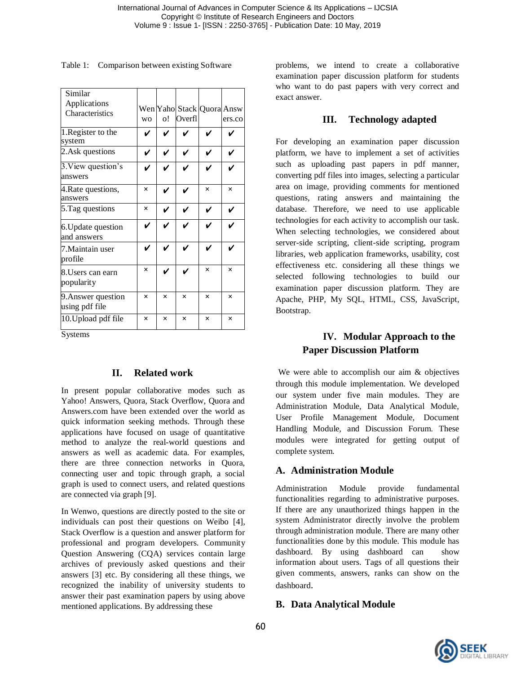Similar Applications Characteristics wo Yaho Stack Quora Answ o! Overfl ers.co 1.Register to the system ✔ ✔ ✔ ✔ ✔ 2. Ask questions  $\|\vee\|\vee\|\vee\|\vee\|\vee\|\vee$ 3.View question's answers ✔ ✔ ✔ ✔ ✔ 4.Rate questions, answers **×** ✔ ✔ **× ×** 5. Tag questions  $\vert x \vert \vee \vert \vee \vert \vee \vert \vee \vert$ 6.Update question and answers ✔ ✔ ✔ ✔ ✔ 7.Maintain user profile ✔ ✔ ✔ ✔ ✔ 8.Users can earn popularity **×** ✔ ✔ **× ×** 9.Answer question using pdf file **× × × × ×** 10.Upload pdf file **× × × × ×**

Systems

### **II. Related work**

In present popular collaborative modes such as Yahoo! Answers, Quora, Stack Overflow, Quora and Answers.com have been extended over the world as quick information seeking methods. Through these applications have focused on usage of quantitative method to analyze the real-world questions and answers as well as academic data. For examples, there are three connection networks in Quora, connecting user and topic through graph, a social graph is used to connect users, and related questions are connected via graph [9].

In Wenwo, questions are directly posted to the site or individuals can post their questions on Weibo [4], Stack Overflow is a question and answer platform for professional and program developers. Community Question Answering (CQA) services contain large archives of previously asked questions and their answers [3] etc. By considering all these things, we recognized the inability of university students to answer their past examination papers by using above mentioned applications. By addressing these

Table 1: Comparison between existing Software problems, we intend to create a collaborative examination paper discussion platform for students who want to do past papers with very correct and exact answer.

# **III. Technology adapted**

For developing an examination paper discussion platform, we have to implement a set of activities such as uploading past papers in pdf manner, converting pdf files into images, selecting a particular area on image, providing comments for mentioned questions, rating answers and maintaining the database. Therefore, we need to use applicable technologies for each activity to accomplish our task. When selecting technologies, we considered about server-side scripting, client-side scripting, program libraries, web application frameworks, usability, cost effectiveness etc. considering all these things we selected following technologies to build our examination paper discussion platform. They are Apache, PHP, My SQL, HTML, CSS, JavaScript, Bootstrap.

# **IV. Modular Approach to the Paper Discussion Platform**

We were able to accomplish our aim & objectives through this module implementation. We developed our system under five main modules. They are Administration Module, Data Analytical Module, User Profile Management Module, Document Handling Module, and Discussion Forum. These modules were integrated for getting output of complete system.

### **A. Administration Module**

Administration Module provide fundamental functionalities regarding to administrative purposes. If there are any unauthorized things happen in the system Administrator directly involve the problem through administration module. There are many other functionalities done by this module. This module has dashboard. By using dashboard can show information about users. Tags of all questions their given comments, answers, ranks can show on the dashboard.

### **B. Data Analytical Module**

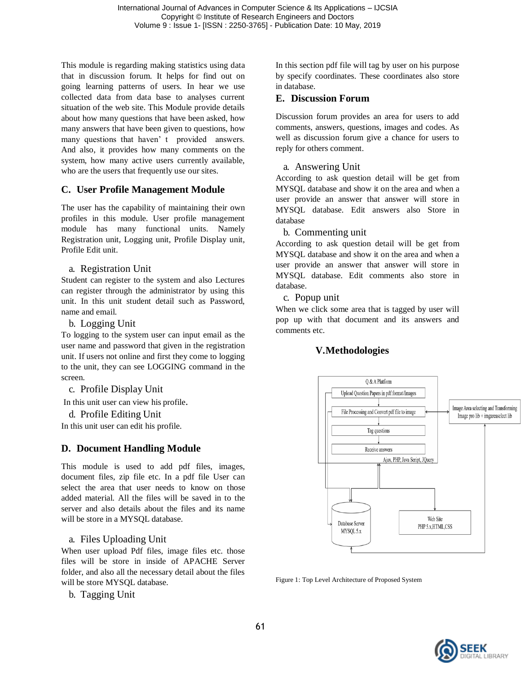This module is regarding making statistics using data that in discussion forum. It helps for find out on going learning patterns of users. In hear we use collected data from data base to analyses current situation of the web site. This Module provide details about how many questions that have been asked, how many answers that have been given to questions, how many questions that haven' t provided answers. And also, it provides how many comments on the system, how many active users currently available, who are the users that frequently use our sites.

# **C. User Profile Management Module**

The user has the capability of maintaining their own profiles in this module. User profile management module has many functional units. Namely Registration unit, Logging unit, Profile Display unit, Profile Edit unit.

#### a. Registration Unit

Student can register to the system and also Lectures can register through the administrator by using this unit. In this unit student detail such as Password, name and email.

b. Logging Unit

To logging to the system user can input email as the user name and password that given in the registration unit. If users not online and first they come to logging to the unit, they can see LOGGING command in the screen.

c. Profile Display Unit

In this unit user can view his profile.

d. Profile Editing Unit

In this unit user can edit his profile.

### **D. Document Handling Module**

This module is used to add pdf files, images, document files, zip file etc. In a pdf file User can select the area that user needs to know on those added material. All the files will be saved in to the server and also details about the files and its name will be store in a MYSQL database.

### a. Files Uploading Unit

When user upload Pdf files, image files etc. those files will be store in inside of APACHE Server folder, and also all the necessary detail about the files will be store MYSQL database.

b. Tagging Unit

In this section pdf file will tag by user on his purpose by specify coordinates. These coordinates also store in database.

#### **E. Discussion Forum**

Discussion forum provides an area for users to add comments, answers, questions, images and codes. As well as discussion forum give a chance for users to reply for others comment.

#### a. Answering Unit

According to ask question detail will be get from MYSQL database and show it on the area and when a user provide an answer that answer will store in MYSQL database. Edit answers also Store in database

#### b. Commenting unit

According to ask question detail will be get from MYSQL database and show it on the area and when a user provide an answer that answer will store in MYSQL database. Edit comments also store in database.

c. Popup unit

When we click some area that is tagged by user will pop up with that document and its answers and comments etc.

### **V.Methodologies**



Figure 1: Top Level Architecture of Proposed System

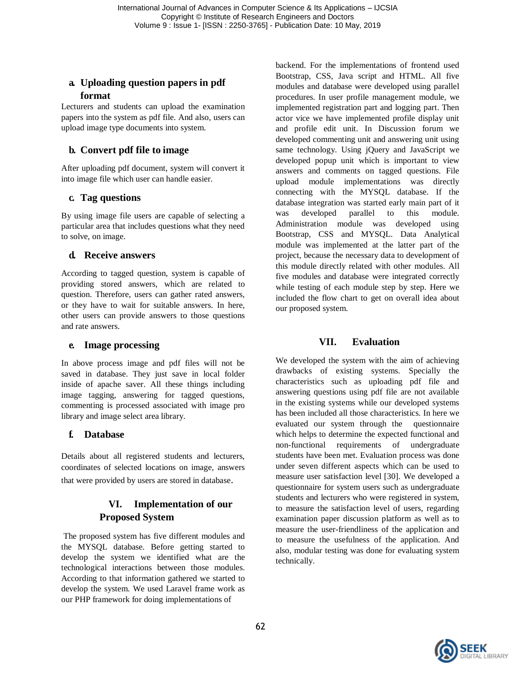# **a. Uploading question papers in pdf format**

Lecturers and students can upload the examination papers into the system as pdf file. And also, users can upload image type documents into system.

# **b. Convert pdf file to image**

After uploading pdf document, system will convert it into image file which user can handle easier.

# **c. Tag questions**

By using image file users are capable of selecting a particular area that includes questions what they need to solve, on image.

# **d. Receive answers**

According to tagged question, system is capable of providing stored answers, which are related to question. Therefore, users can gather rated answers, or they have to wait for suitable answers. In here, other users can provide answers to those questions and rate answers.

### **e. Image processing**

In above process image and pdf files will not be saved in database. They just save in local folder inside of apache saver. All these things including image tagging, answering for tagged questions, commenting is processed associated with image pro library and image select area library.

# **f. Database**

Details about all registered students and lecturers, coordinates of selected locations on image, answers that were provided by users are stored in database.

# **VI. Implementation of our Proposed System**

The proposed system has five different modules and the MYSQL database. Before getting started to develop the system we identified what are the technological interactions between those modules. According to that information gathered we started to develop the system. We used Laravel frame work as our PHP framework for doing implementations of

backend. For the implementations of frontend used Bootstrap, CSS, Java script and HTML. All five modules and database were developed using parallel procedures. In user profile management module, we implemented registration part and logging part. Then actor vice we have implemented profile display unit and profile edit unit. In Discussion forum we developed commenting unit and answering unit using same technology. Using jQuery and JavaScript we developed popup unit which is important to view answers and comments on tagged questions. File upload module implementations was directly connecting with the MYSQL database. If the database integration was started early main part of it was developed parallel to this module. Administration module was developed using Bootstrap, CSS and MYSQL. Data Analytical module was implemented at the latter part of the project, because the necessary data to development of this module directly related with other modules. All five modules and database were integrated correctly while testing of each module step by step. Here we included the flow chart to get on overall idea about our proposed system.

# **VII. Evaluation**

We developed the system with the aim of achieving drawbacks of existing systems. Specially the characteristics such as uploading pdf file and answering questions using pdf file are not available in the existing systems while our developed systems has been included all those characteristics. In here we evaluated our system through the questionnaire which helps to determine the expected functional and non-functional requirements of undergraduate students have been met. Evaluation process was done under seven different aspects which can be used to measure user satisfaction level [30]. We developed a questionnaire for system users such as undergraduate students and lecturers who were registered in system, to measure the satisfaction level of users, regarding examination paper discussion platform as well as to measure the user-friendliness of the application and to measure the usefulness of the application. And also, modular testing was done for evaluating system technically.

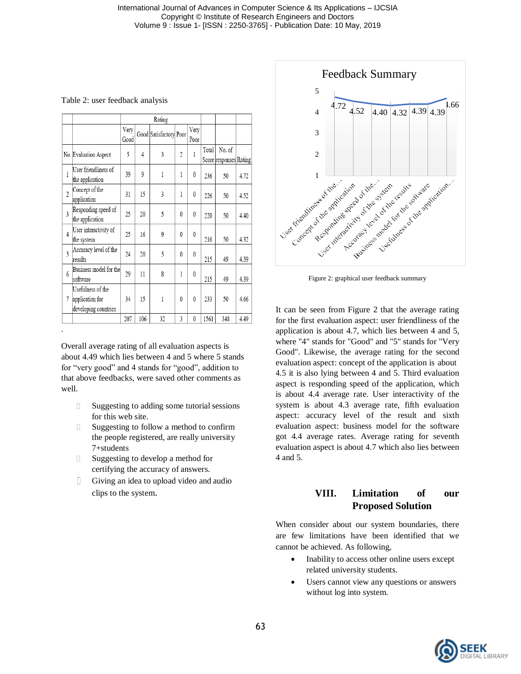|  |  | Table 2: user feedback analysis |  |
|--|--|---------------------------------|--|
|--|--|---------------------------------|--|

|                |                                                              |              |     | Rating                 |                |                  |       |                                  |      |
|----------------|--------------------------------------------------------------|--------------|-----|------------------------|----------------|------------------|-------|----------------------------------|------|
|                |                                                              | Very<br>Good |     | Good Satisfactory Poor |                | Very<br>Poor     |       |                                  |      |
|                | No. Evaluation Aspect                                        | 5            | 4   | 3                      | $\overline{2}$ | 1                | Total | No. of<br>Score responses Rating |      |
| $\mathbf{1}$   | User friendliness of<br>the application                      | 39           | 9   | 1                      | 1              | 0                | 236   | 50                               | 4.72 |
| $\overline{2}$ | Concept of the<br>application                                | 31           | 15  | 3                      | 1              | $\theta$         | 226   | 50                               | 4.52 |
| $\overline{3}$ | Responding speed of<br>the application                       | 25           | 20  | 5                      | 0              | $\theta$         | 220   | 50                               | 4.40 |
| 4              | User interactivity of<br>the system                          | 25           | 16  | 9                      | $\theta$       | $\theta$         | 216   | 50                               | 4.32 |
| 5              | Accuracy level of the<br>results                             | 24           | 20  | 5                      | 0              | $\boldsymbol{0}$ | 215   | 49                               | 4.39 |
| 6              | Business model for the<br>software                           | 29           | 11  | 8                      | 1              | $\theta$         | 215   | 49                               | 4.39 |
| $\overline{7}$ | Usefulness of the<br>application for<br>developing countries | 34           | 15  | 1                      | 0              | $\theta$         | 233   | 50                               | 4.66 |
|                |                                                              | 207          | 106 | 32                     | 3              | 0                | 1561  | 348                              | 4.49 |

Overall average rating of all evaluation aspects is about 4.49 which lies between 4 and 5 where 5 stands for "very good" and 4 stands for "good", addition to that above feedbacks, were saved other comments as well.

.

- $\begin{array}{c} \square \end{array}$ Suggesting to adding some tutorial sessions for this web site.
- Suggesting to follow a method to confirm  $\begin{array}{ccc} \hline \end{array}$ the people registered, are really university 7+students
- $\Box$ Suggesting to develop a method for certifying the accuracy of answers.
- $\Box$ Giving an idea to upload video and audio clips to the system.



Figure 2: graphical user feedback summary

It can be seen from Figure 2 that the average rating for the first evaluation aspect: user friendliness of the application is about 4.7, which lies between 4 and 5, where "4" stands for "Good" and "5" stands for "Very Good". Likewise, the average rating for the second evaluation aspect: concept of the application is about 4.5 it is also lying between 4 and 5. Third evaluation aspect is responding speed of the application, which is about 4.4 average rate. User interactivity of the system is about 4.3 average rate, fifth evaluation aspect: accuracy level of the result and sixth evaluation aspect: business model for the software got 4.4 average rates. Average rating for seventh evaluation aspect is about 4.7 which also lies between 4 and 5.

### **VIII. Limitation of our Proposed Solution**

When consider about our system boundaries, there are few limitations have been identified that we cannot be achieved. As following,

- Inability to access other online users except related university students.
- Users cannot view any questions or answers without log into system.

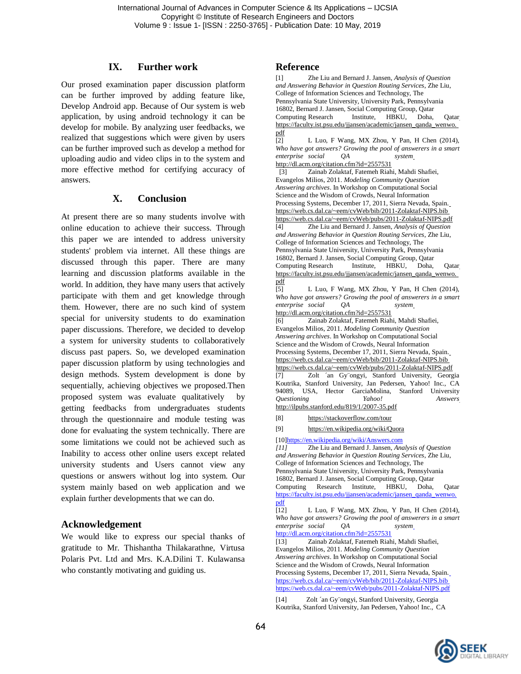#### **IX. Further work**

Our prosed examination paper discussion platform can be further improved by adding feature like, Develop Android app. Because of Our system is web application, by using android technology it can be develop for mobile. By analyzing user feedbacks, we realized that suggestions which were given by users can be further improved such as develop a method for uploading audio and video clips in to the system and more effective method for certifying accuracy of answers.

#### **X. Conclusion**

At present there are so many students involve with online education to achieve their success. Through this paper we are intended to address university students' problem via internet. All these things are discussed through this paper. There are many learning and discussion platforms available in the world. In addition, they have many users that actively participate with them and get knowledge through them. However, there are no such kind of system special for university students to do examination paper discussions. Therefore, we decided to develop a system for university students to collaboratively discuss past papers. So, we developed examination paper discussion platform by using technologies and design methods. System development is done by sequentially, achieving objectives we proposed.Then proposed system was evaluate qualitatively by getting feedbacks from undergraduates students through the questionnaire and module testing was done for evaluating the system technically. There are some limitations we could not be achieved such as Inability to access other online users except related university students and Users cannot view any questions or answers without log into system. Our system mainly based on web application and we explain further developments that we can do.

#### **Acknowledgement**

We would like to express our special thanks of gratitude to Mr. Thishantha Thilakarathne, Virtusa Polaris Pvt. Ltd and Mrs. K.A.Dilini T. Kulawansa who constantly motivating and guiding us.

#### **Reference**

[1] Zhe Liu and Bernard J. Jansen, *Analysis of Question and Answering Behavior in Question Routing Services*, Zhe Liu, College of Information Sciences and Technology, The Pennsylvania State University, University Park, Pennsylvania 16802, Bernard J. Jansen, Social Computing Group, Qatar Computing Research Institute, HBKU, Doha, Qata[r](https://faculty.ist.psu.edu/jjansen/academic/jansen_qanda_wenwo.pdf) [https://faculty.ist.psu.edu/jjansen/academic/jansen\\_qanda\\_wenwo.](https://faculty.ist.psu.edu/jjansen/academic/jansen_qanda_wenwo.pdf) [pdf](https://faculty.ist.psu.edu/jjansen/academic/jansen_qanda_wenwo.pdf)

[2] L Luo, F Wang, MX Zhou, Y Pan, H Chen (2014), *Who have got answers? Growing the pool of answerers in a smart enterprise social QA syste[m](http://dl.acm.org/citation.cfm?id=2557531)* <http://dl.acm.org/citation.cfm?id=2557531>

[3] Zainab Zolaktaf, Fatemeh Riahi, Mahdi Shafiei, Evangelos Milios, 2011. *Modeling Community Question Answering archives*. In Workshop on Computational Social Science and the Wisdom of Crowds, Neural Information Processing Systems, December 17, 2011, Sierra Nevada, Spain[.](https://web.cs.dal.ca/~eem/cvWeb/bib/2011-Zolaktaf-NIPS.bib) <https://web.cs.dal.ca/~eem/cvWeb/bib/2011-Zolaktaf-NIPS.bib> <https://web.cs.dal.ca/~eem/cvWeb/pubs/2011-Zolaktaf-NIPS.pdf>

[4] Zhe Liu and Bernard J. Jansen, *Analysis of Question and Answering Behavior in Question Routing Services*, Zhe Liu, College of Information Sciences and Technology, The Pennsylvania State University, University Park, Pennsylvania 16802, Bernard J. Jansen, Social Computing Group, Qatar Computing Research Institute, HBKU, Doha, Qata[r](https://faculty.ist.psu.edu/jjansen/academic/jansen_qanda_wenwo.pdf) [https://faculty.ist.psu.edu/jjansen/academic/jansen\\_qanda\\_wenwo.](https://faculty.ist.psu.edu/jjansen/academic/jansen_qanda_wenwo.pdf) [pdf](https://faculty.ist.psu.edu/jjansen/academic/jansen_qanda_wenwo.pdf)

[5] L Luo, F Wang, MX Zhou, Y Pan, H Chen (2014), *Who have got answers? Growing the pool of answerers in a smart enterprise social QA syste[m](http://dl.acm.org/citation.cfm?id=2557531)*

<http://dl.acm.org/citation.cfm?id=2557531>

[6] Zainab Zolaktaf, Fatemeh Riahi, Mahdi Shafiei, Evangelos Milios, 2011. *Modeling Community Question Answering archives*. In Workshop on Computational Social Science and the Wisdom of Crowds, Neural Information Processing Systems, December 17, 2011, Sierra Nevada, Spain[.](https://web.cs.dal.ca/~eem/cvWeb/bib/2011-Zolaktaf-NIPS.bib) <https://web.cs.dal.ca/~eem/cvWeb/bib/2011-Zolaktaf-NIPS.bib> <https://web.cs.dal.ca/~eem/cvWeb/pubs/2011-Zolaktaf-NIPS.pdf> [7] Zolt ´an Gy¨ongyi, Stanford University, Georgia Koutrika, Stanford University, Jan Pedersen, Yahoo! Inc., CA 94089, USA, Hector GarciaMolina, Stanford University *Questioning Yahoo! Answer[s](http://ilpubs.stanford.edu/819/1/2007-35.pdf)* <http://ilpubs.stanford.edu/819/1/2007-35.pdf>

[8] <https://stackoverflow.com/tour>

[9] <https://en.wikipedia.org/wiki/Quora>

[1[0\]https://en.wikipedia.org/wiki/Answers.com](https://en.wikipedia.org/wiki/Answers.com)<br>[11] Zhe Liu and Bernard J. Jansen. Ana

*[11]* Zhe Liu and Bernard J. Jansen, *Analysis of Question and Answering Behavior in Question Routing Services*, Zhe Liu, College of Information Sciences and Technology, The Pennsylvania State University, University Park, Pennsylvania 16802, Bernard J. Jansen, Social Computing Group, Qatar Computing Research Institute, HBKU, Doha, Qatar [https://faculty.ist.psu.edu/jjansen/academic/jansen\\_qanda\\_wenwo.](https://faculty.ist.psu.edu/jjansen/academic/jansen_qanda_wenwo.pdf) [pdf](https://faculty.ist.psu.edu/jjansen/academic/jansen_qanda_wenwo.pdf)

[12] L Luo, F Wang, MX Zhou, Y Pan, H Chen (2014), *Who have got answers? Growing the pool of answerers in a smart enterprise social QA syste[m](http://dl.acm.org/citation.cfm?id=2557531)*

<http://dl.acm.org/citation.cfm?id=2557531>

[13] Zainab Zolaktaf, Fatemeh Riahi, Mahdi Shafiei, Evangelos Milios, 2011. *Modeling Community Question Answering archives*. In Workshop on Computational Social Science and the Wisdom of Crowds, Neural Information Processing Systems, December 17, 2011, Sierra Nevada, Spain[.](https://web.cs.dal.ca/~eem/cvWeb/bib/2011-Zolaktaf-NIPS.bib) <https://web.cs.dal.ca/~eem/cvWeb/bib/2011-Zolaktaf-NIPS.bib> <https://web.cs.dal.ca/~eem/cvWeb/pubs/2011-Zolaktaf-NIPS.pdf>

[14] Zolt ´an Gy¨ongyi, Stanford University, Georgia Koutrika, Stanford University, Jan Pedersen, Yahoo! Inc., CA